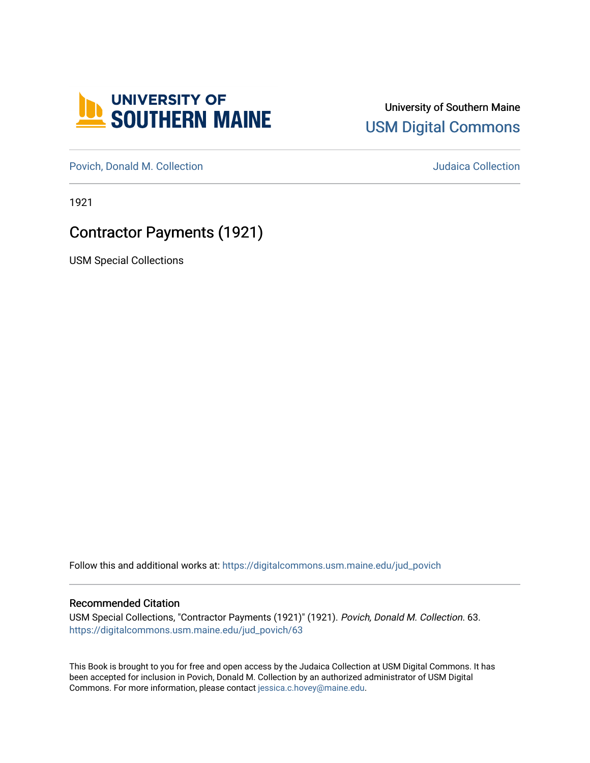

## University of Southern Maine [USM Digital Commons](https://digitalcommons.usm.maine.edu/)

[Povich, Donald M. Collection](https://digitalcommons.usm.maine.edu/jud_povich) [Judaica Collection](https://digitalcommons.usm.maine.edu/judaica) 

1921

## Contractor Payments (1921)

USM Special Collections

Follow this and additional works at: [https://digitalcommons.usm.maine.edu/jud\\_povich](https://digitalcommons.usm.maine.edu/jud_povich?utm_source=digitalcommons.usm.maine.edu%2Fjud_povich%2F63&utm_medium=PDF&utm_campaign=PDFCoverPages) 

## Recommended Citation

USM Special Collections, "Contractor Payments (1921)" (1921). Povich, Donald M. Collection. 63. [https://digitalcommons.usm.maine.edu/jud\\_povich/63](https://digitalcommons.usm.maine.edu/jud_povich/63?utm_source=digitalcommons.usm.maine.edu%2Fjud_povich%2F63&utm_medium=PDF&utm_campaign=PDFCoverPages)

This Book is brought to you for free and open access by the Judaica Collection at USM Digital Commons. It has been accepted for inclusion in Povich, Donald M. Collection by an authorized administrator of USM Digital Commons. For more information, please contact [jessica.c.hovey@maine.edu.](mailto:ian.fowler@maine.edu)